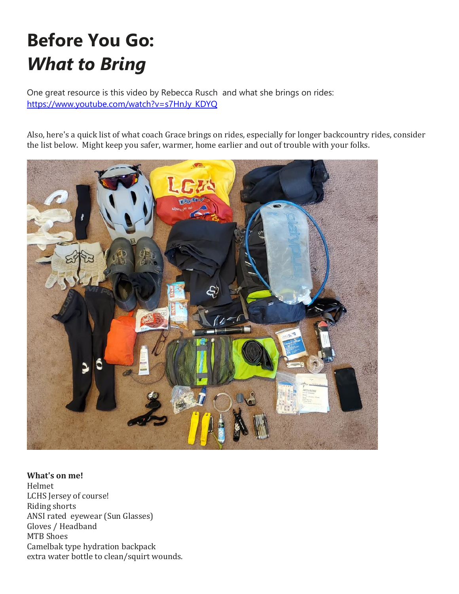## **Before You Go:** *What to Bring*

One great resource is this video by Rebecca Rusch and what she brings on rides: [https://www.youtube.com/watch?v=s7HnJy\\_KDYQ](https://www.youtube.com/watch?v=s7HnJy_KDYQ) 

Also, here's a quick list of what coach Grace brings on rides, especially for longer backcountry rides, consider the list below. Might keep you safer, warmer, home earlier and out of trouble with your folks.



**What's on me!** Helmet LCHS Jersey of course! Riding shorts ANSI rated eyewear (Sun Glasses) Gloves / Headband MTB Shoes Camelbak type hydration backpack extra water bottle to clean/squirt wounds.